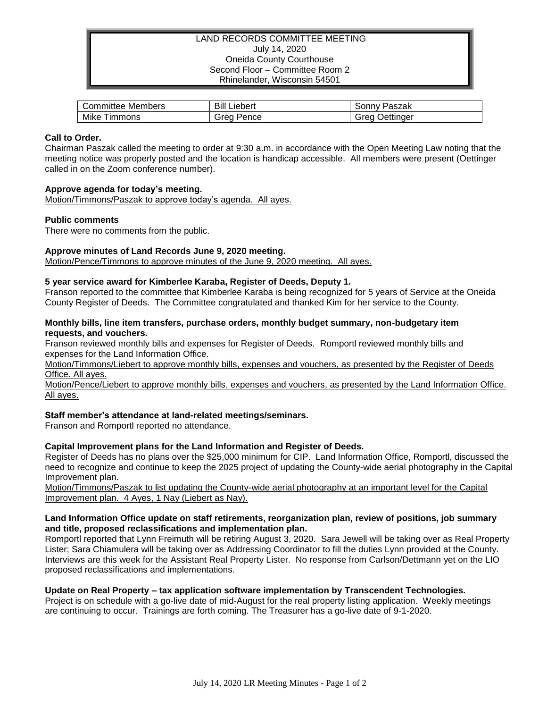### LAND RECORDS COMMITTEE MEETING July 14, 2020 Oneida County Courthouse Second Floor – Committee Room 2 Rhinelander, Wisconsin 54501

| Members     | Bill    | Paszak    |
|-------------|---------|-----------|
| Committee ' | Liebert | ' onnvٽ   |
| Mike        | orea    | Jettinger |
| immons      | Pence   | areo      |

## **Call to Order.**

Chairman Paszak called the meeting to order at 9:30 a.m. in accordance with the Open Meeting Law noting that the meeting notice was properly posted and the location is handicap accessible. All members were present (Oettinger called in on the Zoom conference number).

## **Approve agenda for today's meeting.**

Motion/Timmons/Paszak to approve today's agenda. All ayes.

## **Public comments**

There were no comments from the public.

## **Approve minutes of Land Records June 9, 2020 meeting.**

Motion/Pence/Timmons to approve minutes of the June 9, 2020 meeting. All ayes.

## **5 year service award for Kimberlee Karaba, Register of Deeds, Deputy 1.**

Franson reported to the committee that Kimberlee Karaba is being recognized for 5 years of Service at the Oneida County Register of Deeds. The Committee congratulated and thanked Kim for her service to the County.

#### **Monthly bills, line item transfers, purchase orders, monthly budget summary, non-budgetary item requests, and vouchers.**

Franson reviewed monthly bills and expenses for Register of Deeds. Romportl reviewed monthly bills and expenses for the Land Information Office.

Motion/Timmons/Liebert to approve monthly bills, expenses and vouchers, as presented by the Register of Deeds Office. All ayes.

Motion/Pence/Liebert to approve monthly bills, expenses and vouchers, as presented by the Land Information Office. All ayes.

# **Staff member's attendance at land-related meetings/seminars.**

Franson and Romportl reported no attendance.

#### **Capital Improvement plans for the Land Information and Register of Deeds.**

Register of Deeds has no plans over the \$25,000 minimum for CIP. Land Information Office, Romportl, discussed the need to recognize and continue to keep the 2025 project of updating the County-wide aerial photography in the Capital Improvement plan.

Motion/Timmons/Paszak to list updating the County-wide aerial photography at an important level for the Capital Improvement plan. 4 Ayes, 1 Nay (Liebert as Nay).

#### **Land Information Office update on staff retirements, reorganization plan, review of positions, job summary and title, proposed reclassifications and implementation plan.**

Romportl reported that Lynn Freimuth will be retiring August 3, 2020. Sara Jewell will be taking over as Real Property Lister; Sara Chiamulera will be taking over as Addressing Coordinator to fill the duties Lynn provided at the County. Interviews are this week for the Assistant Real Property Lister. No response from Carlson/Dettmann yet on the LIO proposed reclassifications and implementations.

#### **Update on Real Property – tax application software implementation by Transcendent Technologies.**

Project is on schedule with a go-live date of mid-August for the real property listing application. Weekly meetings are continuing to occur. Trainings are forth coming. The Treasurer has a go-live date of 9-1-2020.